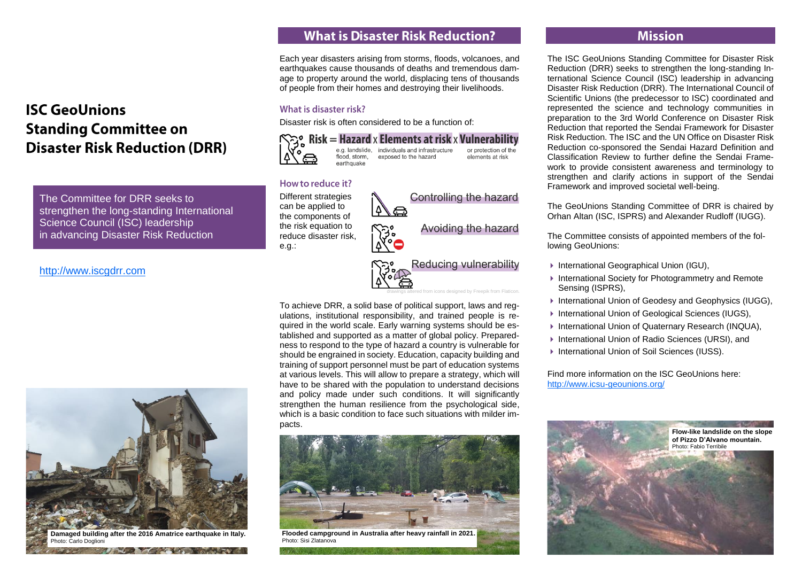# **ISC GeoUnions Standing Committee on Disaster Risk Reduction (DRR)**

The Committee for DRR seeks to strengthen the long-standing International Science Council (ISC) leadership in advancing Disaster Risk Reduction

#### [http://www.iscgdrr.com](http://www.iscgdrr.com/)



**Damaged building after the 2016 Amatrice earthquake in Italy.** noto: Carlo Doglioni **RESERVE AND RESERVE AND RESERVE** 

## **What is Disaster Risk Reduction?**

Each year disasters arising from storms, floods, volcanoes, and earthquakes cause thousands of deaths and tremendous damage to property around the world, displacing tens of thousands of people from their homes and destroying their livelihoods.

#### What is disaster risk?

Disaster risk is often considered to be a function of:



 $Risk =$  Hazard  $x$  Elements at risk  $x$  Vulnerability e.g. landslide. individuals and infrastructure or protection of the flood, storm, exposed to the hazard elements at risk

#### How to reduce it?

Different strategies can be applied to the components of the risk equation to reduce disaster risk, e.g.:

Controlling the hazard

Avoiding the hazard

Reducing vulnerability

drawings altered from icons designed by Freepik from Flaticon.

To achieve DRR, a solid base of political support, laws and regulations, institutional responsibility, and trained people is required in the world scale. Early warning systems should be established and supported as a matter of global policy. Preparedness to respond to the type of hazard a country is vulnerable for should be engrained in society. Education, capacity building and training of support personnel must be part of education systems at various levels. This will allow to prepare a strategy, which will have to be shared with the population to understand decisions and policy made under such conditions. It will significantly strengthen the human resilience from the psychological side, which is a basic condition to face such situations with milder impacts.



**Flooded campground in Australia after heavy rainfall in 2021.** Photo: Sisi Zlatanova

### **Mission**

The ISC GeoUnions Standing Committee for Disaster Risk Reduction (DRR) seeks to strengthen the long-standing International Science Council (ISC) leadership in advancing Disaster Risk Reduction (DRR). The International Council of Scientific Unions (the predecessor to ISC) coordinated and represented the science and technology communities in preparation to the 3rd World Conference on Disaster Risk Reduction that reported the Sendai Framework for Disaster Risk Reduction. The ISC and the UN Office on Disaster Risk Reduction co-sponsored the Sendai Hazard Definition and Classification Review to further define the Sendai Framework to provide consistent awareness and terminology to strengthen and clarify actions in support of the Sendai Framework and improved societal well-being.

The GeoUnions Standing Committee of DRR is chaired by Orhan Altan (ISC, ISPRS) and Alexander Rudloff (IUGG).

The Committee consists of appointed members of the following GeoUnions:

- ▶ International Geographical Union (IGU),
- ▶ International Society for Photogrammetry and Remote Sensing (ISPRS),
- ▶ International Union of Geodesy and Geophysics (IUGG),
- ▶ International Union of Geological Sciences (IUGS),
- ▶ International Union of Quaternary Research (INQUA),
- ▶ International Union of Radio Sciences (URSI), and
- ▶ International Union of Soil Sciences (IUSS).

Find more information on the ISC GeoUnions here: <http://www.icsu-geounions.org/>